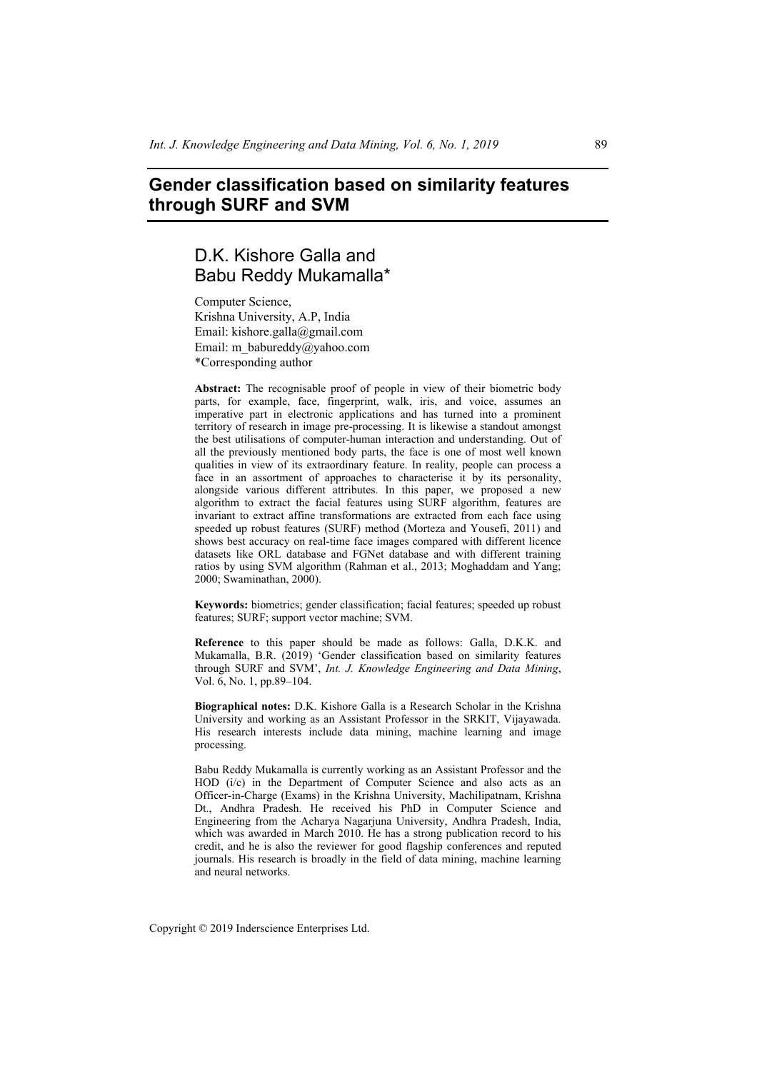# **Gender classification based on similarity features through SURF and SVM**

# D.K. Kishore Galla and Babu Reddy Mukamalla\*

Computer Science, Krishna University, A.P, India Email: kishore.galla@gmail.com Email: m\_babureddy@yahoo.com \*Corresponding author

**Abstract:** The recognisable proof of people in view of their biometric body parts, for example, face, fingerprint, walk, iris, and voice, assumes an imperative part in electronic applications and has turned into a prominent territory of research in image pre-processing. It is likewise a standout amongst the best utilisations of computer-human interaction and understanding. Out of all the previously mentioned body parts, the face is one of most well known qualities in view of its extraordinary feature. In reality, people can process a face in an assortment of approaches to characterise it by its personality, alongside various different attributes. In this paper, we proposed a new algorithm to extract the facial features using SURF algorithm, features are invariant to extract affine transformations are extracted from each face using speeded up robust features (SURF) method (Morteza and Yousefi, 2011) and shows best accuracy on real-time face images compared with different licence datasets like ORL database and FGNet database and with different training ratios by using SVM algorithm (Rahman et al., 2013; Moghaddam and Yang; 2000; Swaminathan, 2000).

**Keywords:** biometrics; gender classification; facial features; speeded up robust features; SURF; support vector machine; SVM.

**Reference** to this paper should be made as follows: Galla, D.K.K. and Mukamalla, B.R. (2019) 'Gender classification based on similarity features through SURF and SVM', *Int. J. Knowledge Engineering and Data Mining*, Vol. 6, No. 1, pp.89–104.

**Biographical notes:** D.K. Kishore Galla is a Research Scholar in the Krishna University and working as an Assistant Professor in the SRKIT, Vijayawada. His research interests include data mining, machine learning and image processing.

Babu Reddy Mukamalla is currently working as an Assistant Professor and the HOD (i/c) in the Department of Computer Science and also acts as an Officer-in-Charge (Exams) in the Krishna University, Machilipatnam, Krishna Dt., Andhra Pradesh. He received his PhD in Computer Science and Engineering from the Acharya Nagarjuna University, Andhra Pradesh, India, which was awarded in March 2010. He has a strong publication record to his credit, and he is also the reviewer for good flagship conferences and reputed journals. His research is broadly in the field of data mining, machine learning and neural networks.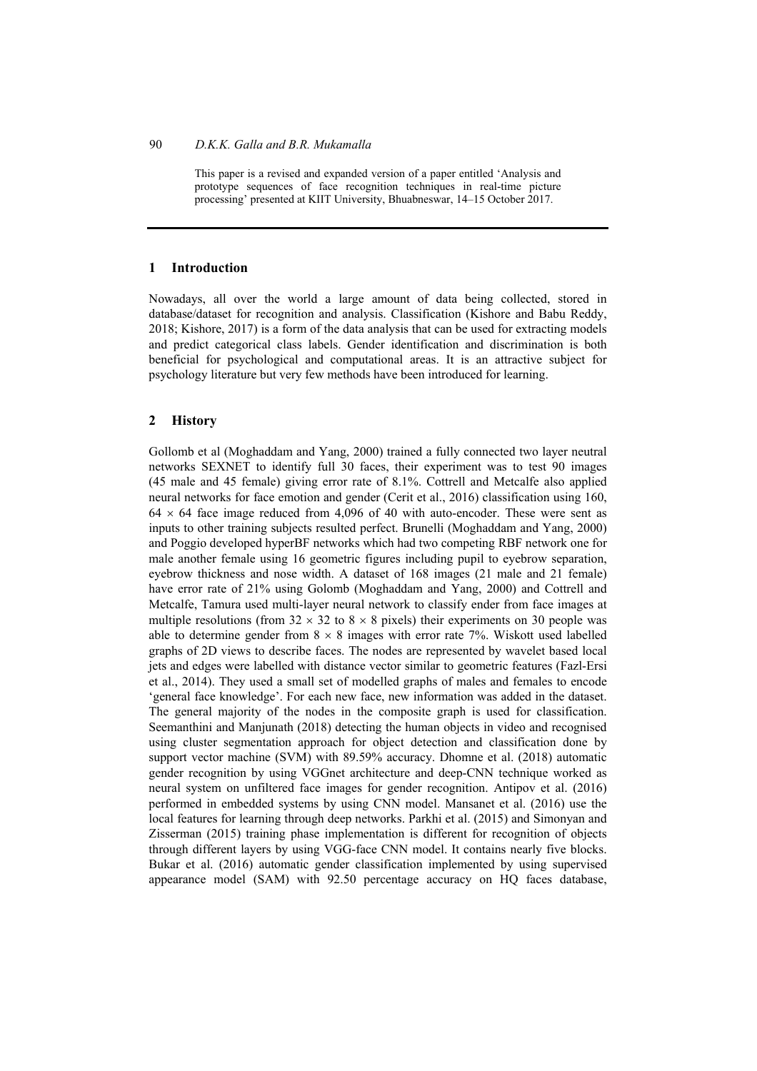This paper is a revised and expanded version of a paper entitled 'Analysis and prototype sequences of face recognition techniques in real-time picture processing' presented at KIIT University, Bhuabneswar, 14–15 October 2017.

# **1 Introduction**

Nowadays, all over the world a large amount of data being collected, stored in database/dataset for recognition and analysis. Classification (Kishore and Babu Reddy, 2018; Kishore, 2017) is a form of the data analysis that can be used for extracting models and predict categorical class labels. Gender identification and discrimination is both beneficial for psychological and computational areas. It is an attractive subject for psychology literature but very few methods have been introduced for learning.

#### **2 History**

Gollomb et al (Moghaddam and Yang, 2000) trained a fully connected two layer neutral networks SEXNET to identify full 30 faces, their experiment was to test 90 images (45 male and 45 female) giving error rate of 8.1%. Cottrell and Metcalfe also applied neural networks for face emotion and gender (Cerit et al., 2016) classification using 160,  $64 \times 64$  face image reduced from 4,096 of 40 with auto-encoder. These were sent as inputs to other training subjects resulted perfect. Brunelli (Moghaddam and Yang, 2000) and Poggio developed hyperBF networks which had two competing RBF network one for male another female using 16 geometric figures including pupil to eyebrow separation, eyebrow thickness and nose width. A dataset of 168 images (21 male and 21 female) have error rate of 21% using Golomb (Moghaddam and Yang, 2000) and Cottrell and Metcalfe, Tamura used multi-layer neural network to classify ender from face images at multiple resolutions (from  $32 \times 32$  to  $8 \times 8$  pixels) their experiments on 30 people was able to determine gender from  $8 \times 8$  images with error rate 7%. Wiskott used labelled graphs of 2D views to describe faces. The nodes are represented by wavelet based local jets and edges were labelled with distance vector similar to geometric features (Fazl-Ersi et al., 2014). They used a small set of modelled graphs of males and females to encode 'general face knowledge'. For each new face, new information was added in the dataset. The general majority of the nodes in the composite graph is used for classification. Seemanthini and Manjunath (2018) detecting the human objects in video and recognised using cluster segmentation approach for object detection and classification done by support vector machine (SVM) with 89.59% accuracy. Dhomne et al. (2018) automatic gender recognition by using VGGnet architecture and deep-CNN technique worked as neural system on unfiltered face images for gender recognition. Antipov et al. (2016) performed in embedded systems by using CNN model. Mansanet et al. (2016) use the local features for learning through deep networks. Parkhi et al. (2015) and Simonyan and Zisserman (2015) training phase implementation is different for recognition of objects through different layers by using VGG-face CNN model. It contains nearly five blocks. Bukar et al. (2016) automatic gender classification implemented by using supervised appearance model (SAM) with 92.50 percentage accuracy on HQ faces database,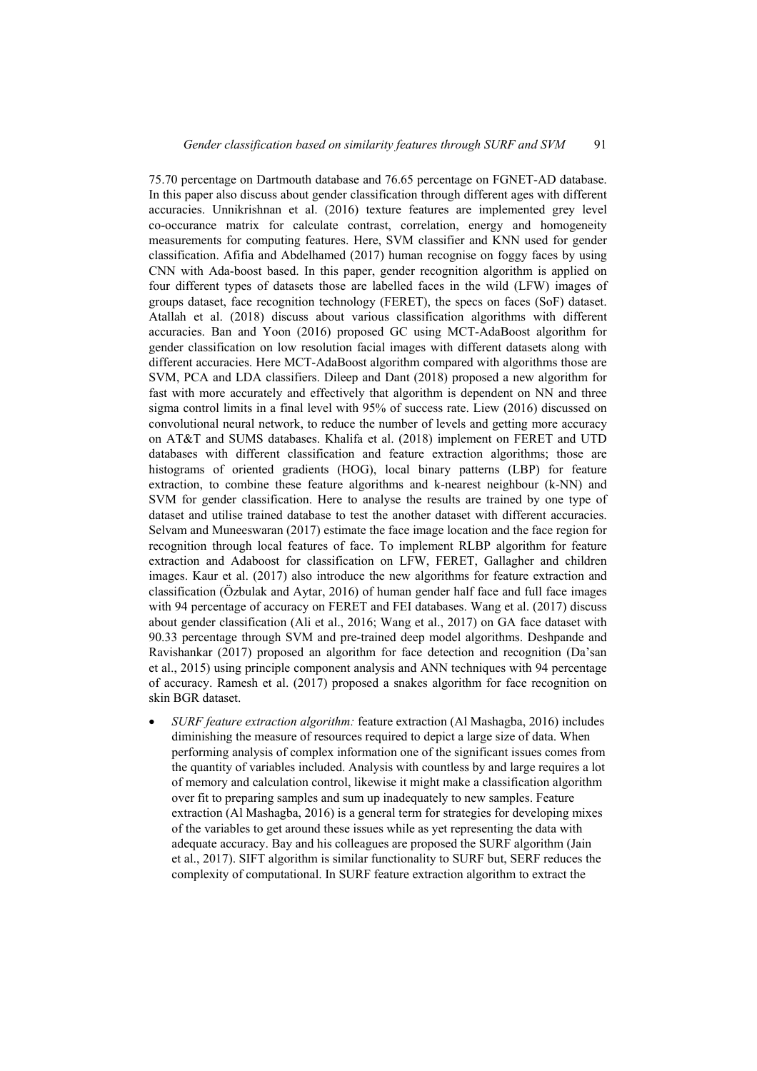75.70 percentage on Dartmouth database and 76.65 percentage on FGNET-AD database. In this paper also discuss about gender classification through different ages with different accuracies. Unnikrishnan et al. (2016) texture features are implemented grey level co-occurance matrix for calculate contrast, correlation, energy and homogeneity measurements for computing features. Here, SVM classifier and KNN used for gender classification. Afifia and Abdelhamed (2017) human recognise on foggy faces by using CNN with Ada-boost based. In this paper, gender recognition algorithm is applied on four different types of datasets those are labelled faces in the wild (LFW) images of groups dataset, face recognition technology (FERET), the specs on faces (SoF) dataset. Atallah et al. (2018) discuss about various classification algorithms with different accuracies. Ban and Yoon (2016) proposed GC using MCT-AdaBoost algorithm for gender classification on low resolution facial images with different datasets along with different accuracies. Here MCT-AdaBoost algorithm compared with algorithms those are SVM, PCA and LDA classifiers. Dileep and Dant (2018) proposed a new algorithm for fast with more accurately and effectively that algorithm is dependent on NN and three sigma control limits in a final level with 95% of success rate. Liew (2016) discussed on convolutional neural network, to reduce the number of levels and getting more accuracy on AT&T and SUMS databases. Khalifa et al. (2018) implement on FERET and UTD databases with different classification and feature extraction algorithms; those are histograms of oriented gradients (HOG), local binary patterns (LBP) for feature extraction, to combine these feature algorithms and k-nearest neighbour (k-NN) and SVM for gender classification. Here to analyse the results are trained by one type of dataset and utilise trained database to test the another dataset with different accuracies. Selvam and Muneeswaran (2017) estimate the face image location and the face region for recognition through local features of face. To implement RLBP algorithm for feature extraction and Adaboost for classification on LFW, FERET, Gallagher and children images. Kaur et al. (2017) also introduce the new algorithms for feature extraction and classification (Özbulak and Aytar, 2016) of human gender half face and full face images with 94 percentage of accuracy on FERET and FEI databases. Wang et al. (2017) discuss about gender classification (Ali et al., 2016; Wang et al., 2017) on GA face dataset with 90.33 percentage through SVM and pre-trained deep model algorithms. Deshpande and Ravishankar (2017) proposed an algorithm for face detection and recognition (Da'san et al., 2015) using principle component analysis and ANN techniques with 94 percentage of accuracy. Ramesh et al. (2017) proposed a snakes algorithm for face recognition on skin BGR dataset.

• *SURF feature extraction algorithm:* feature extraction (Al Mashagba, 2016) includes diminishing the measure of resources required to depict a large size of data. When performing analysis of complex information one of the significant issues comes from the quantity of variables included. Analysis with countless by and large requires a lot of memory and calculation control, likewise it might make a classification algorithm over fit to preparing samples and sum up inadequately to new samples. Feature extraction (Al Mashagba, 2016) is a general term for strategies for developing mixes of the variables to get around these issues while as yet representing the data with adequate accuracy. Bay and his colleagues are proposed the SURF algorithm (Jain et al., 2017). SIFT algorithm is similar functionality to SURF but, SERF reduces the complexity of computational. In SURF feature extraction algorithm to extract the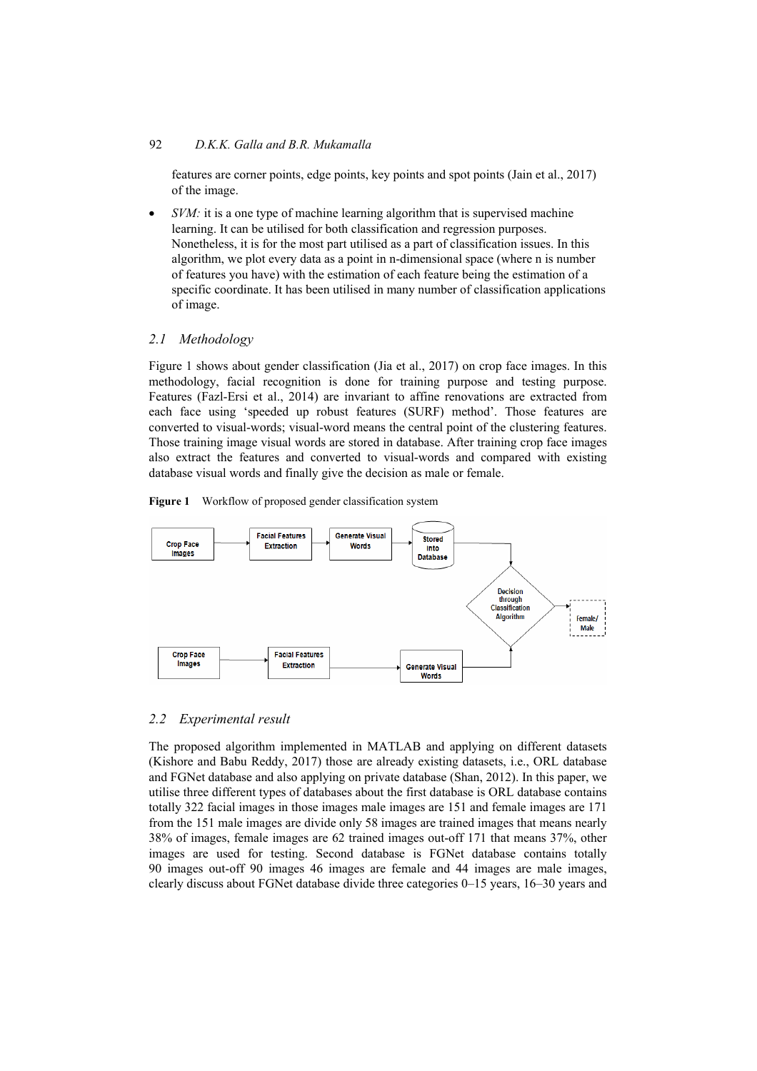features are corner points, edge points, key points and spot points (Jain et al., 2017) of the image.

*SVM*: it is a one type of machine learning algorithm that is supervised machine learning. It can be utilised for both classification and regression purposes. Nonetheless, it is for the most part utilised as a part of classification issues. In this algorithm, we plot every data as a point in n-dimensional space (where n is number of features you have) with the estimation of each feature being the estimation of a specific coordinate. It has been utilised in many number of classification applications of image.

# *2.1 Methodology*

Figure 1 shows about gender classification (Jia et al., 2017) on crop face images. In this methodology, facial recognition is done for training purpose and testing purpose. Features (Fazl-Ersi et al., 2014) are invariant to affine renovations are extracted from each face using 'speeded up robust features (SURF) method'. Those features are converted to visual-words; visual-word means the central point of the clustering features. Those training image visual words are stored in database. After training crop face images also extract the features and converted to visual-words and compared with existing database visual words and finally give the decision as male or female.

**Figure 1** Workflow of proposed gender classification system



#### *2.2 Experimental result*

The proposed algorithm implemented in MATLAB and applying on different datasets (Kishore and Babu Reddy, 2017) those are already existing datasets, i.e., ORL database and FGNet database and also applying on private database (Shan, 2012). In this paper, we utilise three different types of databases about the first database is ORL database contains totally 322 facial images in those images male images are 151 and female images are 171 from the 151 male images are divide only 58 images are trained images that means nearly 38% of images, female images are 62 trained images out-off 171 that means 37%, other images are used for testing. Second database is FGNet database contains totally 90 images out-off 90 images 46 images are female and 44 images are male images, clearly discuss about FGNet database divide three categories 0–15 years, 16–30 years and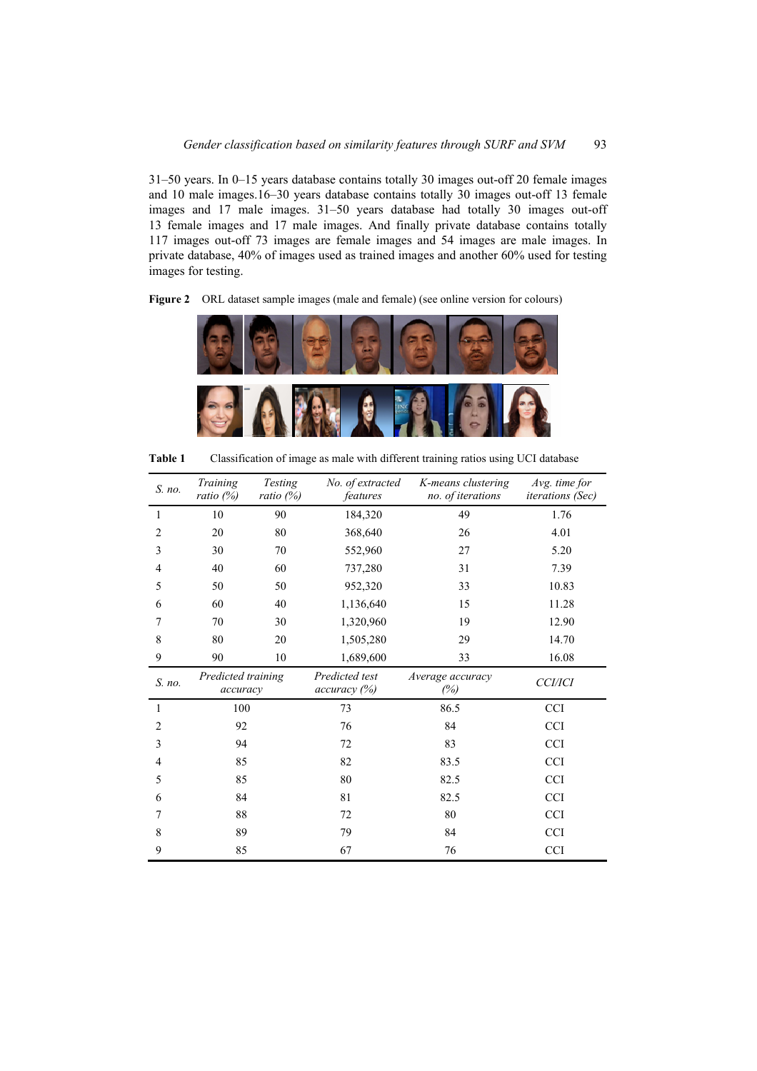31–50 years. In 0–15 years database contains totally 30 images out-off 20 female images and 10 male images.16–30 years database contains totally 30 images out-off 13 female images and 17 male images. 31–50 years database had totally 30 images out-off 13 female images and 17 male images. And finally private database contains totally 117 images out-off 73 images are female images and 54 images are male images. In private database, 40% of images used as trained images and another 60% used for testing images for testing.



Figure 2 ORL dataset sample images (male and female) (see online version for colours)

**Table 1** Classification of image as male with different training ratios using UCI database

| S. no. | Training<br>ratio (%)          | <b>Testing</b><br>ratio $(\%)$ | No. of extracted<br>features   | K-means clustering<br>no. of iterations | Avg. time for<br><i>iterations</i> (Sec) |
|--------|--------------------------------|--------------------------------|--------------------------------|-----------------------------------------|------------------------------------------|
| 1      | 10                             | 90                             | 184,320                        | 49                                      | 1.76                                     |
| 2      | 20                             | 80                             | 368,640                        | 26                                      | 4.01                                     |
| 3      | 30                             | 70                             | 552,960                        | 27                                      | 5.20                                     |
| 4      | 40                             | 60                             | 737,280                        | 31                                      | 7.39                                     |
| 5      | 50                             | 50                             | 952,320                        | 33                                      | 10.83                                    |
| 6      | 60                             | 40                             | 1,136,640                      | 15                                      | 11.28                                    |
| 7      | 70                             | 30                             | 1,320,960                      | 19                                      | 12.90                                    |
| 8      | 80                             | 20                             | 1,505,280                      | 29                                      | 14.70                                    |
| 9      | 90                             | 10                             | 1,689,600                      | 33                                      | 16.08                                    |
| S. no. | Predicted training<br>accuracy |                                | Predicted test<br>accuracy (%) | Average accuracy<br>(%)                 | <b>CCI/ICI</b>                           |
| 1      | 100                            |                                | 73                             | 86.5                                    | <b>CCI</b>                               |
| 2      | 92                             |                                | 76                             | 84                                      | <b>CCI</b>                               |
| 3      | 94                             |                                | 72                             | 83                                      | <b>CCI</b>                               |
| 4      | 85                             |                                | 82                             | 83.5                                    | <b>CCI</b>                               |
| 5      | 85                             |                                | 82.5<br>80                     |                                         | <b>CCI</b>                               |
| 6      | 84                             |                                | 81                             | 82.5                                    |                                          |
| 7      | 88                             |                                | 72                             | 80                                      | <b>CCI</b>                               |
| 8      | 89                             |                                | 79                             | 84                                      | <b>CCI</b>                               |
| 9      | 85                             |                                | 67                             | 76                                      |                                          |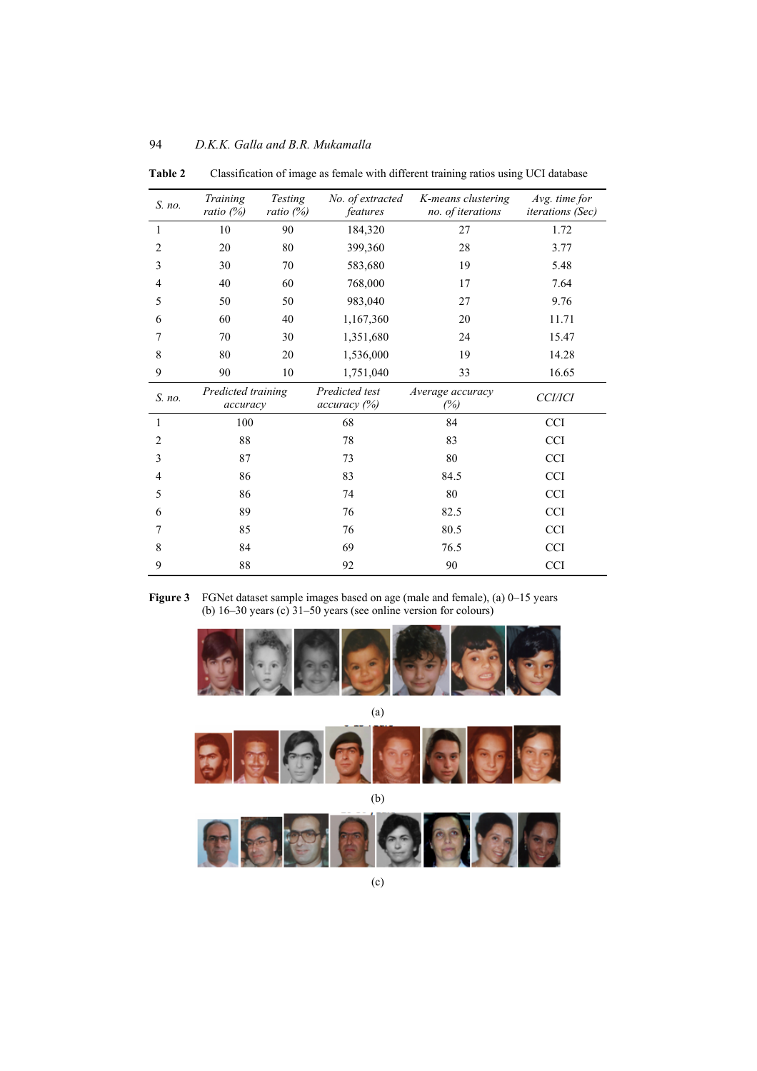| S. no.         | Training<br>ratio $(%)$        | Testing<br>ratio $(%)$ | No. of extracted<br>features   | K-means clustering<br>no. of iterations | Avg. time for<br>iterations (Sec) |
|----------------|--------------------------------|------------------------|--------------------------------|-----------------------------------------|-----------------------------------|
| $\mathbf{1}$   | 10                             | 90                     | 184,320                        | 27                                      | 1.72                              |
| 2              | 20                             | 80                     | 399,360                        | 28                                      | 3.77                              |
| 3              | 30                             | 70                     | 583,680                        | 19                                      | 5.48                              |
| $\overline{4}$ | 40                             | 60                     | 768,000                        | 17                                      | 7.64                              |
| 5              | 50                             | 50                     | 983,040                        | 27                                      | 9.76                              |
| 6              | 60                             | 40                     | 1,167,360                      | 20                                      | 11.71                             |
| 7              | 70                             | 30                     | 1,351,680                      | 24                                      | 15.47                             |
| 8              | 80                             | 20                     | 1,536,000                      | 19                                      | 14.28                             |
| 9              | 90                             | 10                     | 1,751,040                      | 33                                      | 16.65                             |
| S. no.         | Predicted training<br>accuracy |                        | Predicted test<br>accuracy (%) | Average accuracy<br>(%)                 | <b>CCI/ICI</b>                    |
| 1              | 100                            |                        | 68                             | 84                                      | CCI                               |
| $\overline{2}$ | 88                             |                        | 78                             | 83                                      | <b>CCI</b>                        |
| 3              | 87                             |                        | 73                             | 80                                      | <b>CCI</b>                        |
| $\overline{4}$ | 86                             |                        | 83                             | 84.5                                    | <b>CCI</b>                        |
| 5              | 86                             |                        | 74                             | 80                                      | <b>CCI</b>                        |
| 6              | 89                             |                        | 76                             | 82.5                                    | <b>CCI</b>                        |
| 7              | 85                             |                        | 76                             | 80.5                                    | <b>CCI</b>                        |
| 8              | 84                             |                        | 69                             | 76.5                                    | <b>CCI</b>                        |
| 9              | 88                             |                        | 92                             | 90                                      | <b>CCI</b>                        |

94 *D.K.K. Galla and B.R. Mukamalla* 

**Table 2** Classification of image as female with different training ratios using UCI database

**Figure 3** FGNet dataset sample images based on age (male and female), (a) 0–15 years (b) 16–30 years (c) 31–50 years (see online version for colours)



(a)



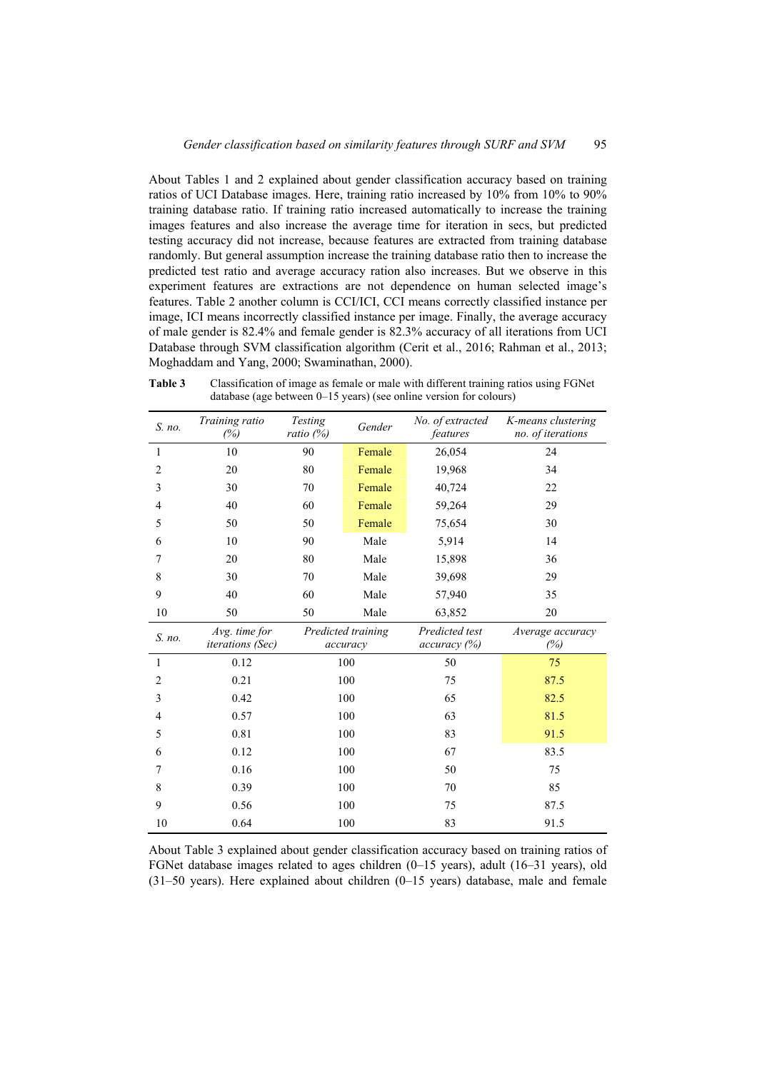About Tables 1 and 2 explained about gender classification accuracy based on training ratios of UCI Database images. Here, training ratio increased by 10% from 10% to 90% training database ratio. If training ratio increased automatically to increase the training images features and also increase the average time for iteration in secs, but predicted testing accuracy did not increase, because features are extracted from training database randomly. But general assumption increase the training database ratio then to increase the predicted test ratio and average accuracy ration also increases. But we observe in this experiment features are extractions are not dependence on human selected image's features. Table 2 another column is CCI/ICI, CCI means correctly classified instance per image, ICI means incorrectly classified instance per image. Finally, the average accuracy of male gender is 82.4% and female gender is 82.3% accuracy of all iterations from UCI Database through SVM classification algorithm (Cerit et al., 2016; Rahman et al., 2013; Moghaddam and Yang, 2000; Swaminathan, 2000).

| S. no.                   | Training ratio<br>(%)             | Testing<br>ratio (%)           | Gender | No. of extracted<br>features   | K-means clustering<br>no. of iterations |
|--------------------------|-----------------------------------|--------------------------------|--------|--------------------------------|-----------------------------------------|
| $\mathbf{1}$             | 10                                | 90                             | Female | 26,054                         | 24                                      |
| $\overline{2}$           | 20                                | 80                             | Female | 19,968                         | 34                                      |
| $\mathfrak{Z}$           | 30                                | 70                             | Female | 40,724                         | 22                                      |
| $\overline{4}$           | 40                                | 60                             | Female | 59,264                         | 29                                      |
| 5                        | 50                                | 50                             | Female | 75,654                         | 30                                      |
| 6                        | 10                                | 90                             | Male   | 5,914                          | 14                                      |
| 7                        | 20                                | 80                             | Male   | 15,898                         | 36                                      |
| 8                        | 30                                | 70                             | Male   | 39,698                         | 29                                      |
| 9                        | 40                                | 60                             | Male   | 57,940                         | 35                                      |
| 10                       | 50                                | 50                             | Male   | 63,852                         | 20                                      |
| S. no.                   | Avg. time for<br>iterations (Sec) | Predicted training<br>accuracy |        | Predicted test<br>accuracy (%) | Average accuracy<br>(%)                 |
| 1                        | 0.12                              |                                | 100    | 50                             | 75                                      |
| $\overline{2}$           | 0.21                              |                                | 100    | 75                             | 87.5                                    |
| 3                        | 0.42                              |                                | 100    | 65                             | 82.5                                    |
| $\overline{\mathcal{L}}$ | 0.57                              |                                | 100    | 63                             | 81.5                                    |
| 5                        | 0.81                              |                                | 100    | 83                             | 91.5                                    |
| 6                        | 0.12                              |                                | 100    | 67                             | 83.5                                    |
| 7                        | 0.16                              |                                | 100    | 50                             | 75                                      |
| 8                        | 0.39                              | 100                            |        | 70                             | 85                                      |
| 9                        | 0.56                              |                                | 100    | 75                             | 87.5                                    |
| 10                       | 0.64                              |                                | 100    | 83                             | 91.5                                    |

**Table 3** Classification of image as female or male with different training ratios using FGNet database (age between 0–15 years) (see online version for colours)

About Table 3 explained about gender classification accuracy based on training ratios of FGNet database images related to ages children (0–15 years), adult (16–31 years), old (31–50 years). Here explained about children (0–15 years) database, male and female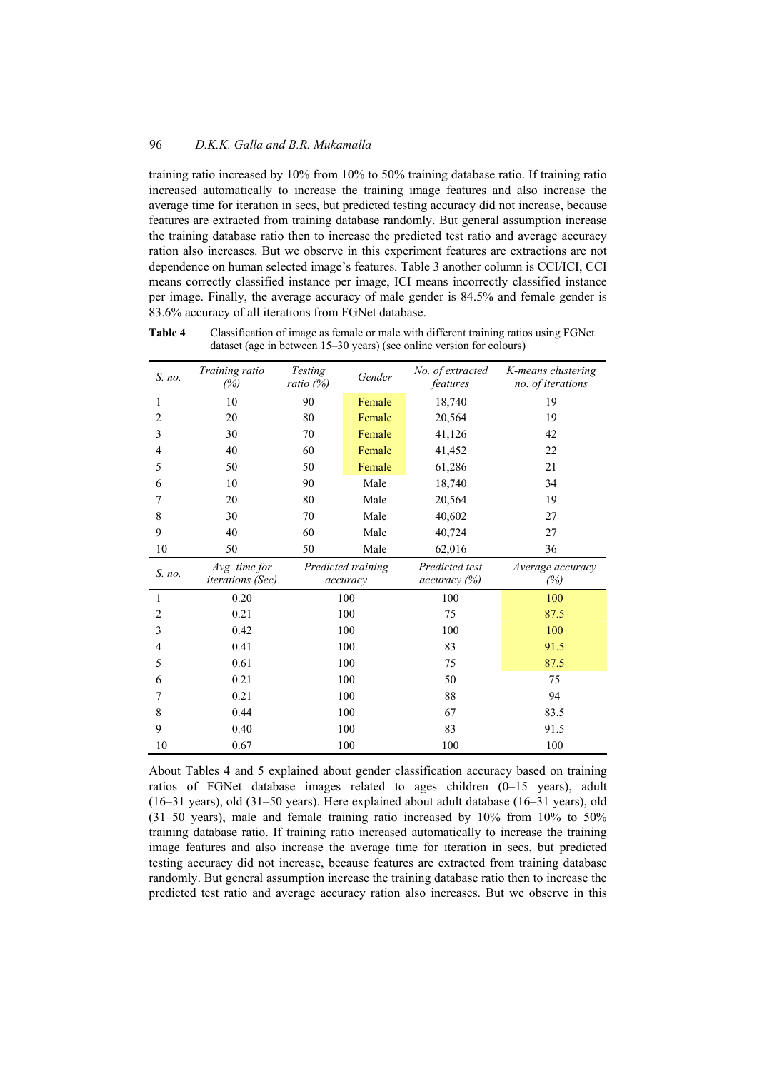training ratio increased by 10% from 10% to 50% training database ratio. If training ratio increased automatically to increase the training image features and also increase the average time for iteration in secs, but predicted testing accuracy did not increase, because features are extracted from training database randomly. But general assumption increase the training database ratio then to increase the predicted test ratio and average accuracy ration also increases. But we observe in this experiment features are extractions are not dependence on human selected image's features. Table 3 another column is CCI/ICI, CCI means correctly classified instance per image, ICI means incorrectly classified instance per image. Finally, the average accuracy of male gender is 84.5% and female gender is 83.6% accuracy of all iterations from FGNet database.

**Table 4** Classification of image as female or male with different training ratios using FGNet dataset (age in between 15–30 years) (see online version for colours)

| S. no. | Training ratio<br>(%)                    | Testing<br>ratio (%) | Gender                         | No. of extracted<br>features   | K-means clustering<br>no. of iterations |
|--------|------------------------------------------|----------------------|--------------------------------|--------------------------------|-----------------------------------------|
| 1      | 10                                       | 90                   | Female                         | 18,740                         | 19                                      |
| 2      | 20                                       | 80                   | Female                         | 20,564                         | 19                                      |
| 3      | 30                                       | 70                   | Female                         | 41,126                         | 42                                      |
| 4      | 40                                       | 60                   | Female                         | 41,452                         | 22                                      |
| 5      | 50                                       | 50                   | Female                         | 61,286                         | 21                                      |
| 6      | 10                                       | 90                   | Male                           | 18,740                         | 34                                      |
| 7      | 20                                       | 80                   | Male                           | 20,564                         | 19                                      |
| 8      | 30                                       | 70                   | Male                           | 40,602                         | 27                                      |
| 9      | 40                                       | 60                   | Male                           | 40,724                         | 27                                      |
| 10     | 50                                       | 50                   | Male                           | 62,016                         | 36                                      |
| S. no. | Avg. time for<br><i>iterations</i> (Sec) |                      | Predicted training<br>accuracy | Predicted test<br>accuracy (%) | Average accuracy<br>(%)                 |
| 1      | 0.20                                     | 100                  |                                | 100                            | 100                                     |
| 2      | 0.21                                     |                      | 100                            | 75                             | 87.5                                    |
| 3      | 0.42                                     |                      | 100                            | 100                            | 100                                     |
| 4      | 0.41                                     |                      | 100                            | 83                             | 91.5                                    |
| 5      | 0.61                                     |                      | 100                            | 75                             | 87.5                                    |
| 6      | 0.21                                     |                      | 100                            | 50                             | 75                                      |
| 7      | 0.21                                     | 100                  |                                | 88                             | 94                                      |
| 8      | 0.44                                     | 100                  |                                | 67                             | 83.5                                    |
| 9      | 0.40                                     |                      | 100                            | 83                             | 91.5                                    |
| 10     | 0.67                                     |                      | 100                            | 100                            | 100                                     |

About Tables 4 and 5 explained about gender classification accuracy based on training ratios of FGNet database images related to ages children (0–15 years), adult (16–31 years), old (31–50 years). Here explained about adult database (16–31 years), old (31–50 years), male and female training ratio increased by 10% from 10% to 50% training database ratio. If training ratio increased automatically to increase the training image features and also increase the average time for iteration in secs, but predicted testing accuracy did not increase, because features are extracted from training database randomly. But general assumption increase the training database ratio then to increase the predicted test ratio and average accuracy ration also increases. But we observe in this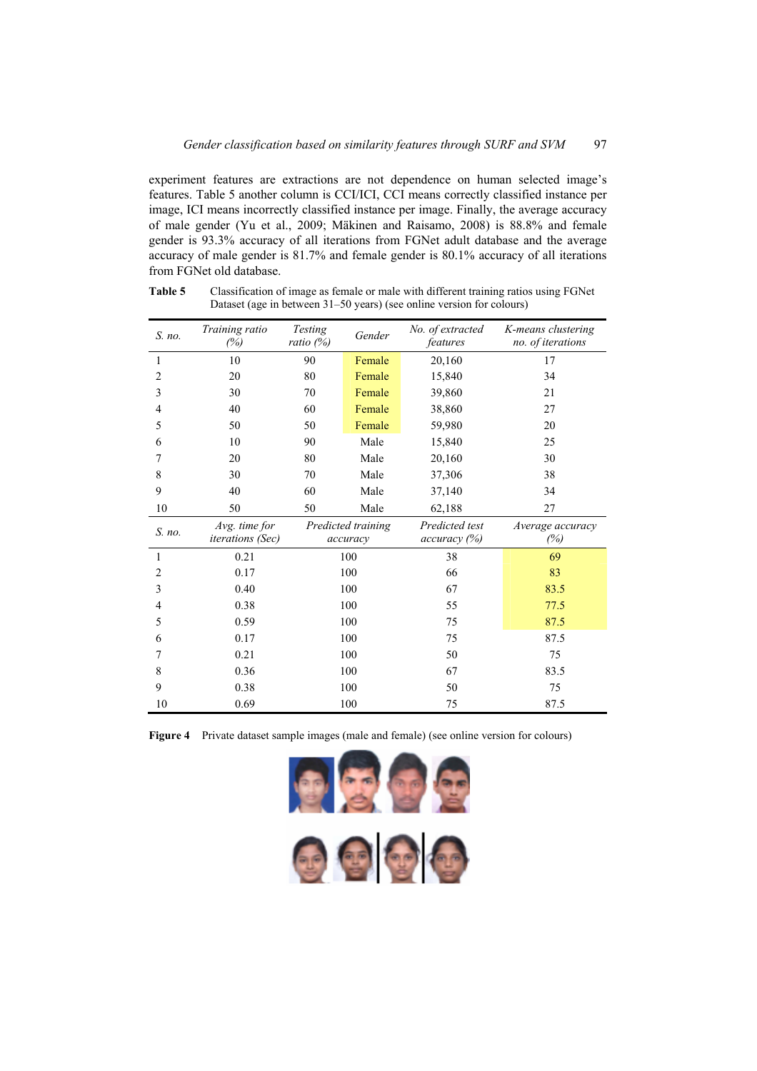experiment features are extractions are not dependence on human selected image's features. Table 5 another column is CCI/ICI, CCI means correctly classified instance per image, ICI means incorrectly classified instance per image. Finally, the average accuracy of male gender (Yu et al., 2009; Mäkinen and Raisamo, 2008) is 88.8% and female gender is 93.3% accuracy of all iterations from FGNet adult database and the average accuracy of male gender is 81.7% and female gender is 80.1% accuracy of all iterations from FGNet old database.

| S. no.         | Training ratio<br>(%)             | Testing<br>ratio $(\%)$ | Gender                         | No. of extracted<br>features   | K-means clustering<br>no. of iterations |
|----------------|-----------------------------------|-------------------------|--------------------------------|--------------------------------|-----------------------------------------|
| 1              | 10                                | 90                      | Female                         | 20,160                         | 17                                      |
| $\overline{2}$ | 20                                | 80                      | Female                         | 15,840                         | 34                                      |
| 3              | 30                                | 70                      | Female                         | 39,860                         | 21                                      |
| $\overline{4}$ | 40                                | 60                      | Female                         | 38,860                         | 27                                      |
| 5              | 50                                | 50                      | Female                         | 59,980                         | 20                                      |
| 6              | 10                                | 90                      | Male                           | 15,840                         | 25                                      |
| 7              | 20                                | 80                      | Male                           | 20,160                         | 30                                      |
| 8              | 30                                | 70                      | Male                           | 37,306                         | 38                                      |
| 9              | 40                                | 60                      | Male                           | 37,140                         | 34                                      |
| 10             | 50                                | 50                      | Male                           | 62,188                         | 27                                      |
| S. no.         | Avg. time for<br>iterations (Sec) |                         | Predicted training<br>accuracy | Predicted test<br>accuracy (%) | Average accuracy<br>(%)                 |
| 1              | 0.21                              |                         | 100                            | 38                             | 69                                      |
| $\overline{2}$ | 0.17                              |                         | 100                            | 66                             | 83                                      |
| 3              | 0.40                              |                         | 100                            | 67                             | 83.5                                    |
| $\overline{4}$ | 0.38                              |                         | 100                            | 55                             | 77.5                                    |
| 5              | 0.59                              |                         | 100                            | 75                             | 87.5                                    |
| 6              | 0.17                              |                         | 100                            | 75                             | 87.5                                    |
| 7              | 0.21                              |                         | 100                            | 50                             | 75                                      |
| 8              | 0.36                              |                         | 100                            | 67                             | 83.5                                    |
| 9              | 0.38                              |                         | 100                            | 50                             | 75                                      |
| 10             | 0.69                              |                         | 100                            | 75                             | 87.5                                    |

**Table 5** Classification of image as female or male with different training ratios using FGNet Dataset (age in between 31–50 years) (see online version for colours)

**Figure 4** Private dataset sample images (male and female) (see online version for colours)

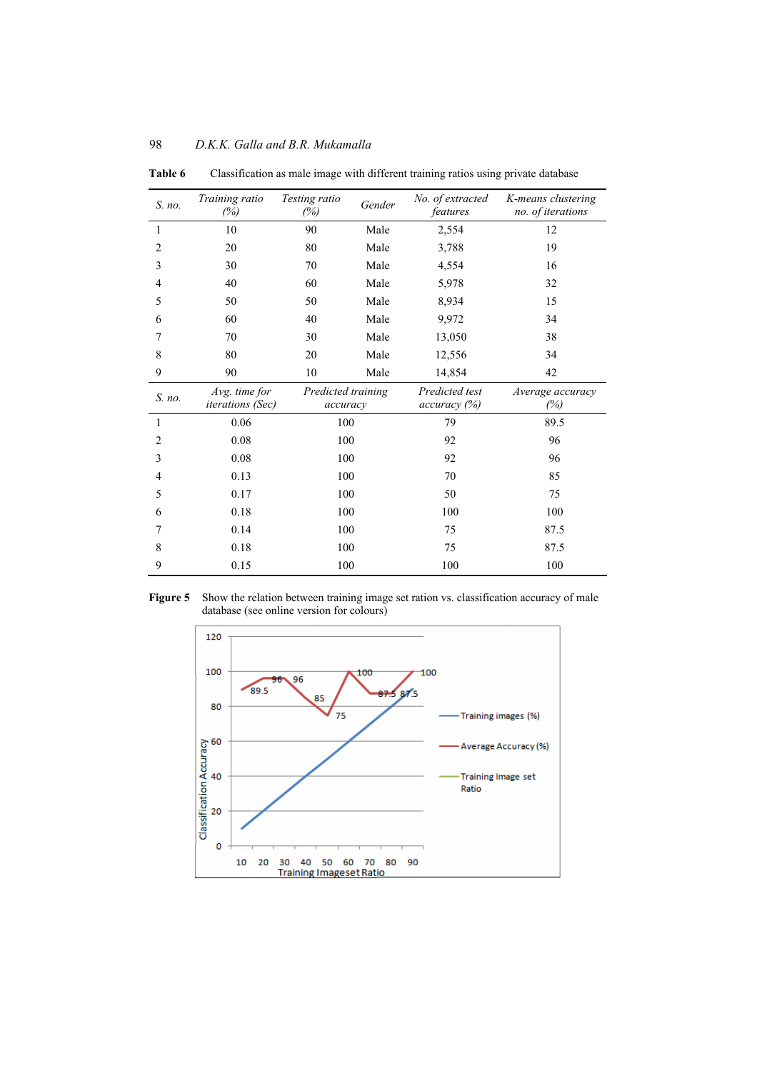| S. no.         | Training ratio<br>(%)                    | Testing ratio<br>(%)           | Gender | No. of extracted<br>features   | K-means clustering<br>no. of iterations |
|----------------|------------------------------------------|--------------------------------|--------|--------------------------------|-----------------------------------------|
| 1              | 10                                       | 90                             | Male   | 2,554                          | 12                                      |
| $\overline{2}$ | 20                                       | 80                             | Male   | 3,788                          | 19                                      |
| 3              | 30                                       | 70                             | Male   | 4,554                          | 16                                      |
| $\overline{4}$ | 40                                       | 60                             | Male   | 5,978                          | 32                                      |
| 5              | 50                                       | 50                             | Male   | 8,934                          | 15                                      |
| 6              | 60                                       | 40                             | Male   | 9,972                          | 34                                      |
| 7              | 70                                       | 30                             | Male   | 13,050                         | 38                                      |
| 8              | 80                                       | 20                             | Male   | 12,556                         | 34                                      |
| 9              | 90                                       | 10                             | Male   | 14,854                         | 42                                      |
| S. no.         | Avg. time for<br><i>iterations</i> (Sec) | Predicted training<br>accuracy |        | Predicted test<br>accuracy (%) | Average accuracy<br>(%)                 |
| 1              | 0.06                                     | 100                            |        | 79                             | 89.5                                    |
| 2              | 0.08                                     | 100                            |        | 92                             | 96                                      |
| 3              | 0.08                                     | 100                            |        | 92                             | 96                                      |
| 4              | 0.13                                     | 100                            |        | 70                             | 85                                      |
| 5              | 0.17                                     | 100                            |        | 50                             | 75                                      |
| 6              | 0.18                                     | 100                            |        | 100                            | 100                                     |
| 7              | 0.14                                     | 100                            |        | 75                             | 87.5                                    |
| 8              | 0.18                                     | 100                            |        | 75                             | 87.5                                    |
| 9              | 0.15                                     | 100                            |        | 100                            | 100                                     |

**Table 6** Classification as male image with different training ratios using private database



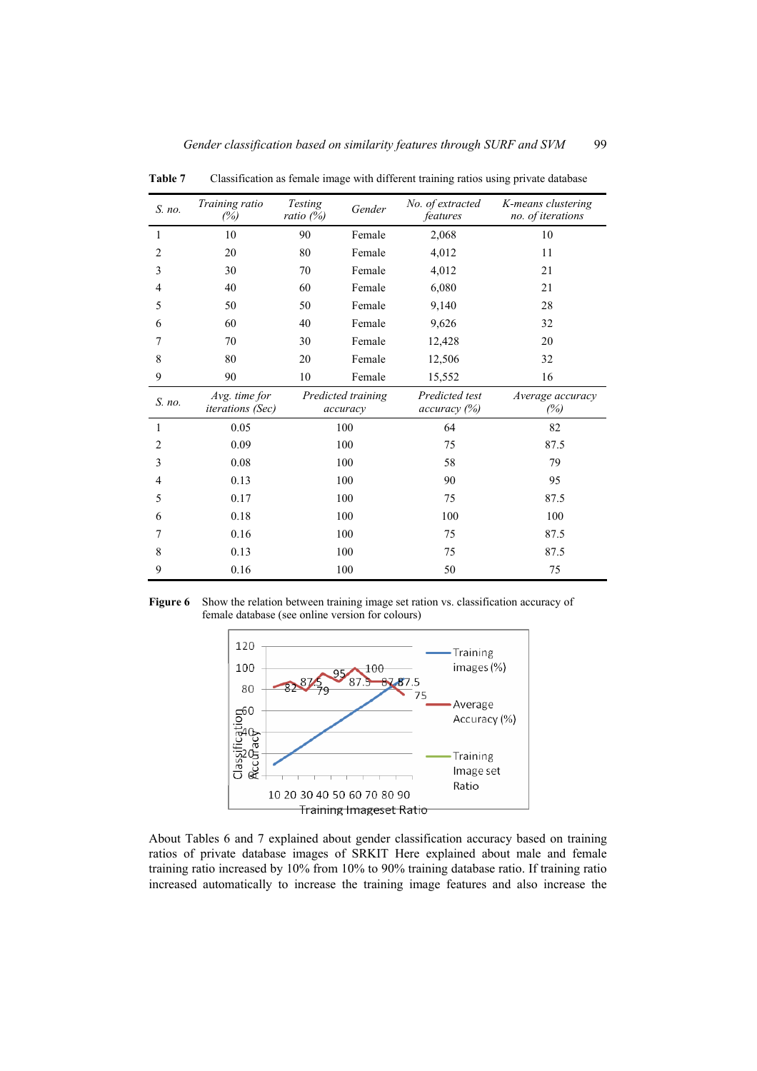| S. no.         | Training ratio<br>(%)                    | Testing<br>ratio (%) | Gender                         | No. of extracted<br>features   | K-means clustering<br>no. of iterations |
|----------------|------------------------------------------|----------------------|--------------------------------|--------------------------------|-----------------------------------------|
| 1              | 10                                       | 90                   | Female                         | 2,068                          | 10                                      |
| $\overline{c}$ | 20                                       | 80                   | Female                         | 4,012                          | 11                                      |
| 3              | 30                                       | 70                   | Female                         | 4,012                          | 21                                      |
| $\overline{4}$ | 40                                       | 60                   | Female                         | 6,080                          | 21                                      |
| 5              | 50                                       | 50                   | Female                         | 9,140                          | 28                                      |
| 6              | 60                                       | 40                   | Female                         | 9,626                          | 32                                      |
| 7              | 70                                       | 30                   | Female                         | 12,428                         | 20                                      |
| 8              | 80                                       | 20                   | Female                         | 12,506                         | 32                                      |
| 9              | 90                                       | 10                   | Female                         | 15,552                         | 16                                      |
| S. no.         | Avg. time for<br><i>iterations</i> (Sec) |                      | Predicted training<br>accuracy | Predicted test<br>accuracy (%) | Average accuracy<br>(%)                 |
| 1              | 0.05                                     |                      | 100                            | 64                             | 82                                      |
| $\overline{2}$ | 0.09                                     |                      | 100                            | 75                             | 87.5                                    |
| 3              | 0.08                                     |                      | 100                            | 58                             | 79                                      |
| $\overline{4}$ | 0.13                                     |                      | 100                            | 90                             | 95                                      |
| 5              | 0.17                                     |                      | 100                            | 75                             | 87.5                                    |
| 6              | 0.18                                     | 100                  |                                | 100                            | 100                                     |
| 7              | 0.16                                     | 100                  |                                | 75                             | 87.5                                    |
| 8              | 0.13                                     |                      | 100                            | 75                             | 87.5                                    |
| 9              | 0.16                                     |                      | 100                            | 50                             | 75                                      |

**Table 7** Classification as female image with different training ratios using private database





About Tables 6 and 7 explained about gender classification accuracy based on training ratios of private database images of SRKIT Here explained about male and female training ratio increased by 10% from 10% to 90% training database ratio. If training ratio increased automatically to increase the training image features and also increase the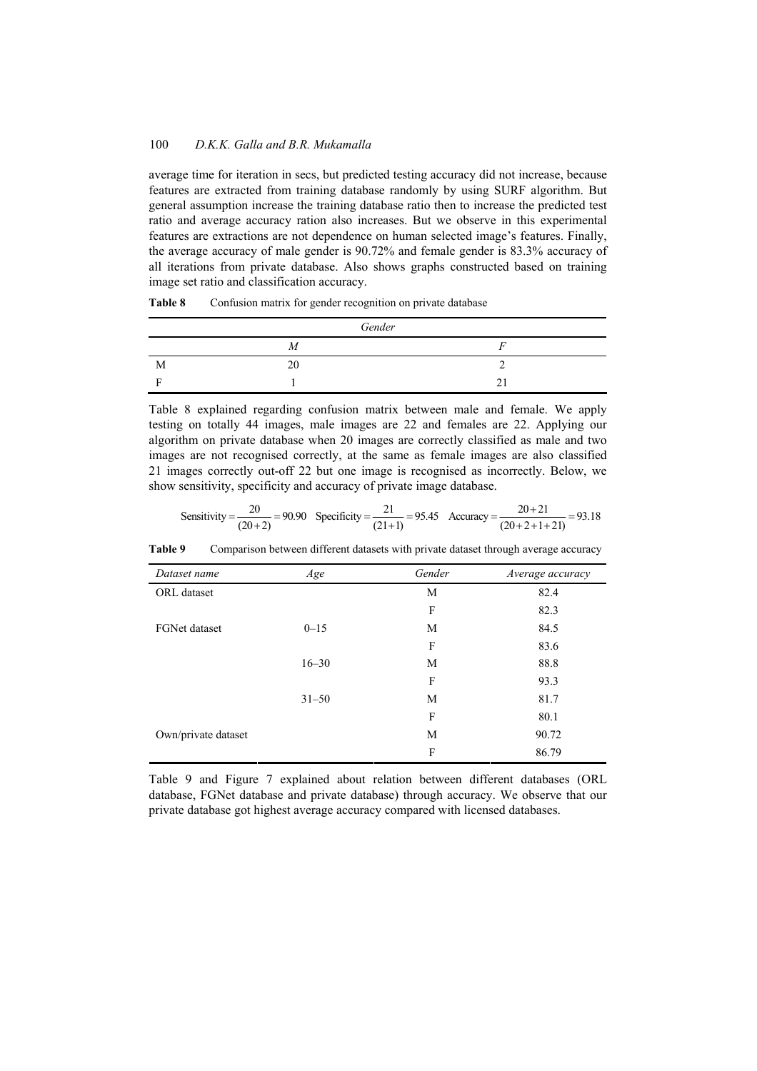average time for iteration in secs, but predicted testing accuracy did not increase, because features are extracted from training database randomly by using SURF algorithm. But general assumption increase the training database ratio then to increase the predicted test ratio and average accuracy ration also increases. But we observe in this experimental features are extractions are not dependence on human selected image's features. Finally, the average accuracy of male gender is 90.72% and female gender is 83.3% accuracy of all iterations from private database. Also shows graphs constructed based on training image set ratio and classification accuracy.

**Table 8** Confusion matrix for gender recognition on private database

| Gender |    |  |  |  |  |  |
|--------|----|--|--|--|--|--|
|        | М  |  |  |  |  |  |
| M      | 20 |  |  |  |  |  |
|        |    |  |  |  |  |  |

Table 8 explained regarding confusion matrix between male and female. We apply testing on totally 44 images, male images are 22 and females are 22. Applying our algorithm on private database when 20 images are correctly classified as male and two images are not recognised correctly, at the same as female images are also classified 21 images correctly out-off 22 but one image is recognised as incorrectly. Below, we show sensitivity, specificity and accuracy of private image database.

Sensitivity = 
$$
\frac{20}{(20+2)} = 90.90
$$
 Specificity =  $\frac{21}{(21+1)} = 95.45$  Accuracy =  $\frac{20+21}{(20+2+1+21)} = 93.18$ 

**Table 9** Comparison between different datasets with private dataset through average accuracy

| Dataset name         | Age       | Gender | Average accuracy |
|----------------------|-----------|--------|------------------|
| ORL dataset          |           | M      | 82.4             |
|                      |           | F      | 82.3             |
| <b>FGNet dataset</b> | $0 - 15$  | М      | 84.5             |
|                      |           | F      | 83.6             |
|                      | $16 - 30$ | M      | 88.8             |
|                      |           | F      | 93.3             |
|                      | $31 - 50$ | M      | 81.7             |
|                      |           | F      | 80.1             |
| Own/private dataset  |           | M      | 90.72            |
|                      |           | F      | 86.79            |

Table 9 and Figure 7 explained about relation between different databases (ORL database, FGNet database and private database) through accuracy. We observe that our private database got highest average accuracy compared with licensed databases.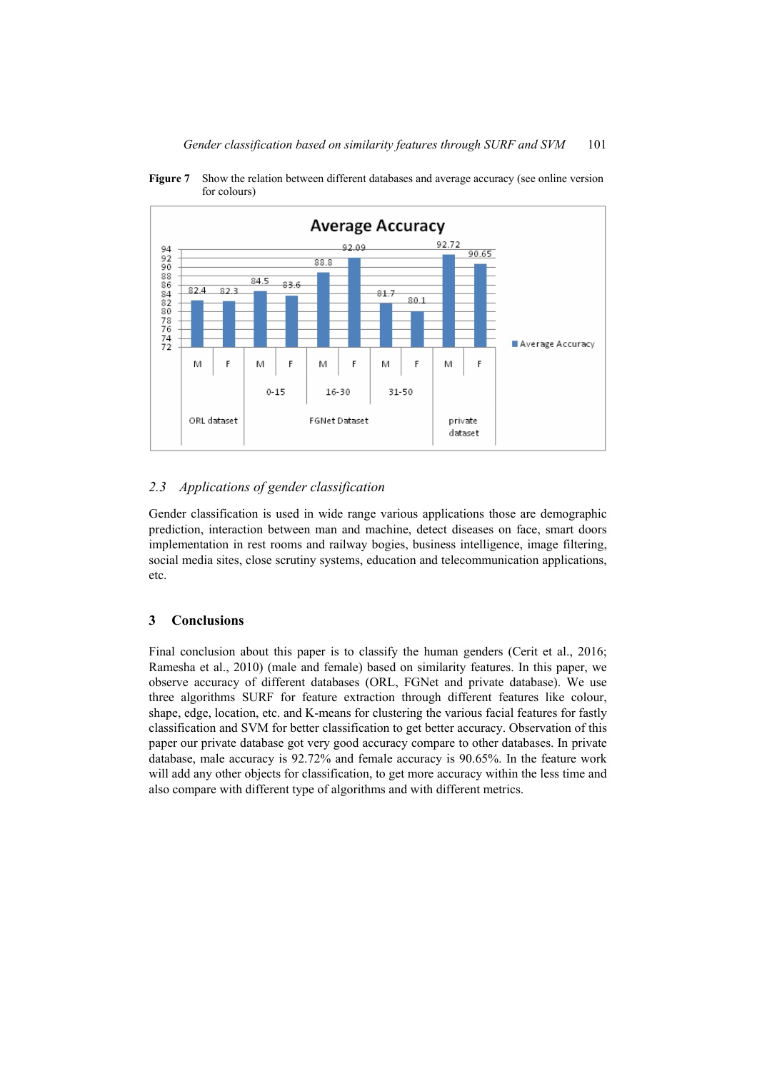

**Figure 7** Show the relation between different databases and average accuracy (see online version for colours)

# *2.3 Applications of gender classification*

Gender classification is used in wide range various applications those are demographic prediction, interaction between man and machine, detect diseases on face, smart doors implementation in rest rooms and railway bogies, business intelligence, image filtering, social media sites, close scrutiny systems, education and telecommunication applications, etc.

# **3 Conclusions**

Final conclusion about this paper is to classify the human genders (Cerit et al., 2016; Ramesha et al., 2010) (male and female) based on similarity features. In this paper, we observe accuracy of different databases (ORL, FGNet and private database). We use three algorithms SURF for feature extraction through different features like colour, shape, edge, location, etc. and K-means for clustering the various facial features for fastly classification and SVM for better classification to get better accuracy. Observation of this paper our private database got very good accuracy compare to other databases. In private database, male accuracy is 92.72% and female accuracy is 90.65%. In the feature work will add any other objects for classification, to get more accuracy within the less time and also compare with different type of algorithms and with different metrics.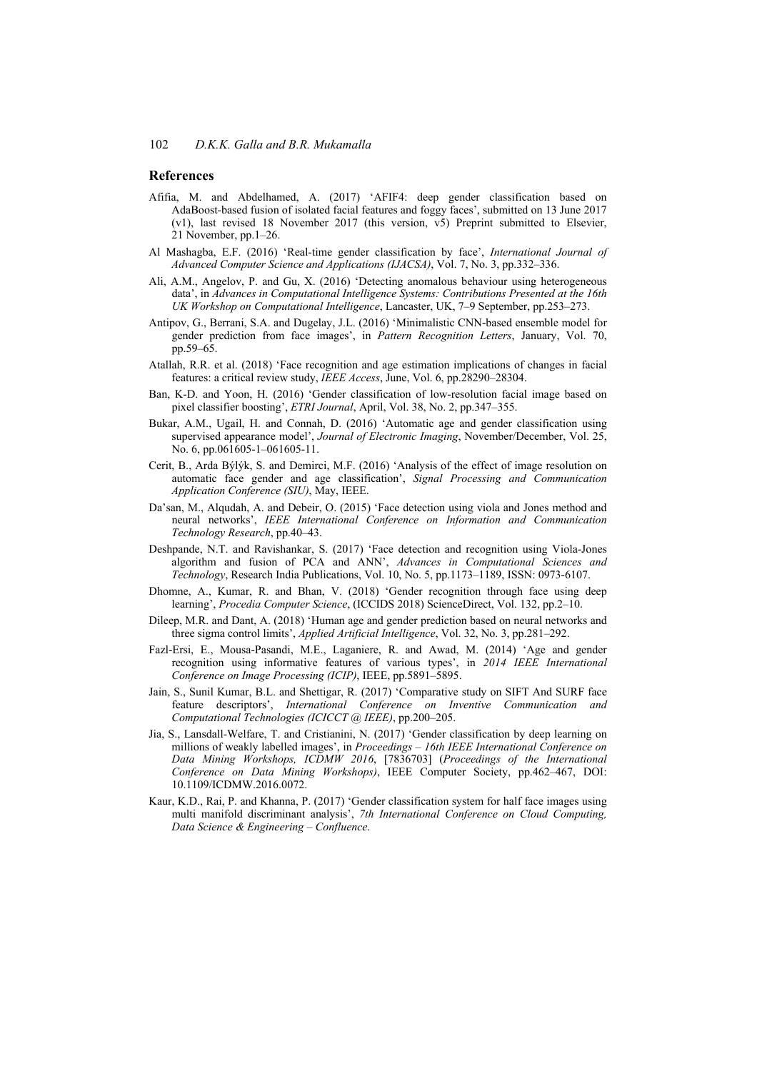#### **References**

- Afifia, M. and Abdelhamed, A. (2017) 'AFIF4: deep gender classification based on AdaBoost-based fusion of isolated facial features and foggy faces', submitted on 13 June 2017 (v1), last revised 18 November 2017 (this version, v5) Preprint submitted to Elsevier, 21 November, pp.1–26.
- Al Mashagba, E.F. (2016) 'Real-time gender classification by face', *International Journal of Advanced Computer Science and Applications (IJACSA)*, Vol. 7, No. 3, pp.332–336.
- Ali, A.M., Angelov, P. and Gu, X. (2016) 'Detecting anomalous behaviour using heterogeneous data', in *Advances in Computational Intelligence Systems: Contributions Presented at the 16th UK Workshop on Computational Intelligence*, Lancaster, UK, 7–9 September, pp.253–273.
- Antipov, G., Berrani, S.A. and Dugelay, J.L. (2016) 'Minimalistic CNN-based ensemble model for gender prediction from face images', in *Pattern Recognition Letters*, January, Vol. 70, pp.59–65.
- Atallah, R.R. et al. (2018) 'Face recognition and age estimation implications of changes in facial features: a critical review study, *IEEE Access*, June, Vol. 6, pp.28290–28304.
- Ban, K-D. and Yoon, H. (2016) 'Gender classification of low-resolution facial image based on pixel classifier boosting', *ETRI Journal*, April, Vol. 38, No. 2, pp.347–355.
- Bukar, A.M., Ugail, H. and Connah, D. (2016) 'Automatic age and gender classification using supervised appearance model', *Journal of Electronic Imaging*, November/December, Vol. 25, No. 6, pp.061605-1–061605-11.
- Cerit, B., Arda Býlýk, S. and Demirci, M.F. (2016) 'Analysis of the effect of image resolution on automatic face gender and age classification', *Signal Processing and Communication Application Conference (SIU)*, May, IEEE.
- Da'san, M., Alqudah, A. and Debeir, O. (2015) 'Face detection using viola and Jones method and neural networks', *IEEE International Conference on Information and Communication Technology Research*, pp.40–43.
- Deshpande, N.T. and Ravishankar, S. (2017) 'Face detection and recognition using Viola-Jones algorithm and fusion of PCA and ANN', *Advances in Computational Sciences and Technology*, Research India Publications, Vol. 10, No. 5, pp.1173–1189, ISSN: 0973-6107.
- Dhomne, A., Kumar, R. and Bhan, V. (2018) 'Gender recognition through face using deep learning', *Procedia Computer Science*, (ICCIDS 2018) ScienceDirect, Vol. 132, pp.2–10.
- Dileep, M.R. and Dant, A. (2018) 'Human age and gender prediction based on neural networks and three sigma control limits', *Applied Artificial Intelligence*, Vol. 32, No. 3, pp.281–292.
- Fazl-Ersi, E., Mousa-Pasandi, M.E., Laganiere, R. and Awad, M. (2014) 'Age and gender recognition using informative features of various types', in *2014 IEEE International Conference on Image Processing (ICIP)*, IEEE, pp.5891–5895.
- Jain, S., Sunil Kumar, B.L. and Shettigar, R. (2017) 'Comparative study on SIFT And SURF face feature descriptors', *International Conference on Inventive Communication and Computational Technologies (ICICCT @ IEEE)*, pp.200–205.
- Jia, S., Lansdall-Welfare, T. and Cristianini, N. (2017) 'Gender classification by deep learning on millions of weakly labelled images', in *Proceedings – 16th IEEE International Conference on Data Mining Workshops, ICDMW 2016*, [7836703] (*Proceedings of the International Conference on Data Mining Workshops)*, IEEE Computer Society, pp.462–467, DOI: 10.1109/ICDMW.2016.0072.
- Kaur, K.D., Rai, P. and Khanna, P. (2017) 'Gender classification system for half face images using multi manifold discriminant analysis', *7th International Conference on Cloud Computing, Data Science & Engineering – Confluence*.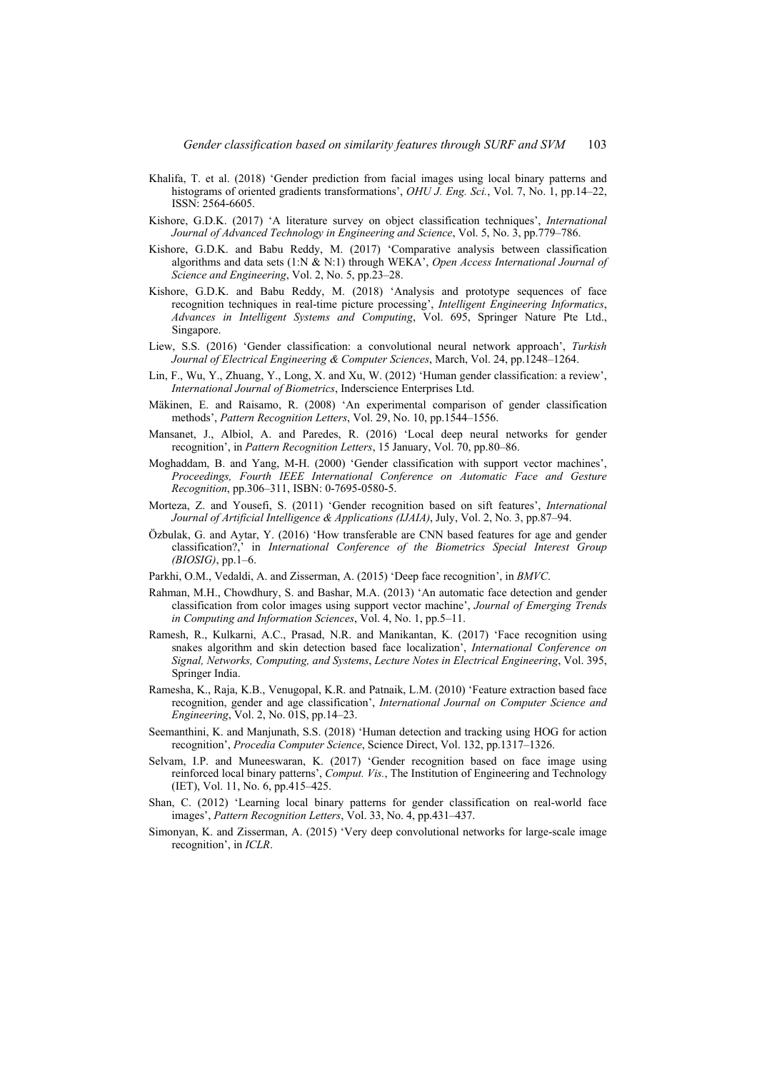- Khalifa, T. et al. (2018) 'Gender prediction from facial images using local binary patterns and histograms of oriented gradients transformations', *OHU J. Eng. Sci.*, Vol. 7, No. 1, pp.14–22, ISSN: 2564-6605.
- Kishore, G.D.K. (2017) 'A literature survey on object classification techniques', *International Journal of Advanced Technology in Engineering and Science*, Vol. 5, No. 3, pp.779–786.
- Kishore, G.D.K. and Babu Reddy, M. (2017) 'Comparative analysis between classification algorithms and data sets (1:N & N:1) through WEKA', *Open Access International Journal of Science and Engineering*, Vol. 2, No. 5, pp.23–28.
- Kishore, G.D.K. and Babu Reddy, M. (2018) 'Analysis and prototype sequences of face recognition techniques in real-time picture processing', *Intelligent Engineering Informatics*, *Advances in Intelligent Systems and Computing*, Vol. 695, Springer Nature Pte Ltd., Singapore.
- Liew, S.S. (2016) 'Gender classification: a convolutional neural network approach', *Turkish Journal of Electrical Engineering & Computer Sciences*, March, Vol. 24, pp.1248–1264.
- Lin, F., Wu, Y., Zhuang, Y., Long, X. and Xu, W. (2012) 'Human gender classification: a review', *International Journal of Biometrics*, Inderscience Enterprises Ltd.
- Mäkinen, E. and Raisamo, R. (2008) 'An experimental comparison of gender classification methods', *Pattern Recognition Letters*, Vol. 29, No. 10, pp.1544–1556.
- Mansanet, J., Albiol, A. and Paredes, R. (2016) 'Local deep neural networks for gender recognition', in *Pattern Recognition Letters*, 15 January, Vol. 70, pp.80–86.
- Moghaddam, B. and Yang, M-H. (2000) 'Gender classification with support vector machines', *Proceedings, Fourth IEEE International Conference on Automatic Face and Gesture Recognition*, pp.306–311, ISBN: 0-7695-0580-5.
- Morteza, Z. and Yousefi, S. (2011) 'Gender recognition based on sift features', *International Journal of Artificial Intelligence & Applications (IJAIA)*, July, Vol. 2, No. 3, pp.87–94.
- Özbulak, G. and Aytar, Y. (2016) 'How transferable are CNN based features for age and gender classification?,' in *International Conference of the Biometrics Special Interest Group (BIOSIG)*, pp.1–6.
- Parkhi, O.M., Vedaldi, A. and Zisserman, A. (2015) 'Deep face recognition', in *BMVC*.
- Rahman, M.H., Chowdhury, S. and Bashar, M.A. (2013) 'An automatic face detection and gender classification from color images using support vector machine', *Journal of Emerging Trends in Computing and Information Sciences*, Vol. 4, No. 1, pp.5–11.
- Ramesh, R., Kulkarni, A.C., Prasad, N.R. and Manikantan, K. (2017) 'Face recognition using snakes algorithm and skin detection based face localization', *International Conference on Signal, Networks, Computing, and Systems*, *Lecture Notes in Electrical Engineering*, Vol. 395, Springer India.
- Ramesha, K., Raja, K.B., Venugopal, K.R. and Patnaik, L.M. (2010) 'Feature extraction based face recognition, gender and age classification', *International Journal on Computer Science and Engineering*, Vol. 2, No. 01S, pp.14–23.
- Seemanthini, K. and Manjunath, S.S. (2018) 'Human detection and tracking using HOG for action recognition', *Procedia Computer Science*, Science Direct, Vol. 132, pp.1317–1326.
- Selvam, I.P. and Muneeswaran, K. (2017) 'Gender recognition based on face image using reinforced local binary patterns', *Comput. Vis.*, The Institution of Engineering and Technology (IET), Vol. 11, No. 6, pp.415–425.
- Shan, C. (2012) 'Learning local binary patterns for gender classification on real-world face images', *Pattern Recognition Letters*, Vol. 33, No. 4, pp.431–437.
- Simonyan, K. and Zisserman, A. (2015) 'Very deep convolutional networks for large-scale image recognition', in *ICLR*.